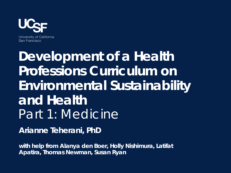

University of California San Francisco

# **Development of a Health Professions Curriculum on Environmental Sustainability and Health** Part 1: Medicine

**Arianne Teherani, PhD** 

**with help from Alanya den Boer, Holly Nishimura, Latifat Apatira, Thomas Newman, Susan Ryan**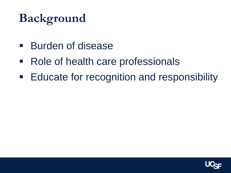## **Background**

- **Burden of disease**
- Role of health care professionals
- **Educate for recognition and responsibility**

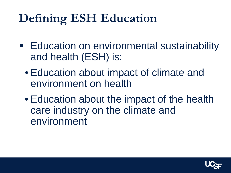# **Defining ESH Education**

- **Education on environmental sustainability** and health (ESH) is:
	- Education about impact of climate and environment on health
	- Education about the impact of the health care industry on the climate and environment

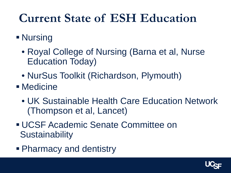## **Current State of ESH Education**

#### **Nursing**

- Royal College of Nursing (Barna et al, Nurse Education Today)
- NurSus Toolkit (Richardson, Plymouth)
- Medicine
	- UK Sustainable Health Care Education Network (Thompson et al, Lancet)
- UCSF Academic Senate Committee on **Sustainability**
- Pharmacy and dentistry

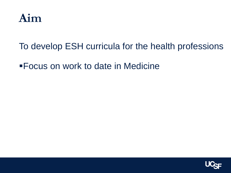

To develop ESH curricula for the health professions

Focus on work to date in Medicine

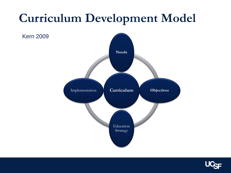## **Curriculum Development Model**

Kern 2009



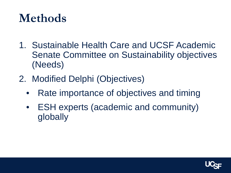## **Methods**

- 1. Sustainable Health Care and UCSF Academic Senate Committee on Sustainability objectives (Needs)
- 2. Modified Delphi (Objectives)
	- Rate importance of objectives and timing
	- ESH experts (academic and community) globally

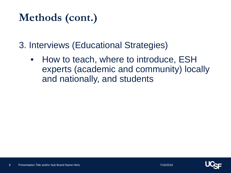#### **Methods (cont.)**

3. Interviews (Educational Strategies)

• How to teach, where to introduce, ESH experts (academic and community) locally and nationally, and students

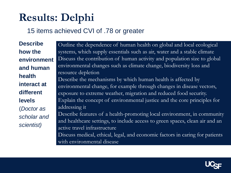## **Results: Delphi**

#### 15 items achieved CVI of .78 or greater

**Describe how the environment and human health interact at different levels**  (*Doctor as scholar and scientist)*

Outline the dependence of human health on global and local ecological systems, which supply essentials such as air, water and a stable climate Discuss the contribution of human activity and population size to global environmental changes such as climate change, biodiversity loss and resource depletion Describe the mechanisms by which human health is affected by environmental change, for example through changes in disease vectors, exposure to extreme weather, migration and reduced food security. Explain the concept of environmental justice and the core principles for addressing it Describe features of a health-promoting local environment, in community and healthcare settings, to include access to green spaces, clean air and an active travel infrastructure

Discuss medical, ethical, legal, and economic factors in caring for patients with environmental disease

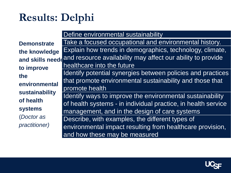## **Results: Delphi**

**Demonstrate the knowledge and skills needd to improve the environmental sustainability of health systems**  (*Doctor as practitioner)* Define environmental sustainability Take a focused occupational and environmental history. Explain how trends in demographics, technology, climate, and resource availability may affect our ability to provide healthcare into the future Identify potential synergies between policies and practices that promote environmental sustainability and those that promote health Identify ways to improve the environmental sustainability of health systems - in individual practice, in health service management, and in the design of care systems Describe, with examples, the different types of environmental impact resulting from healthcare provision, and how these may be measured

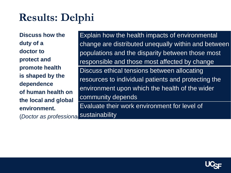### **Results: Delphi**

**Discuss how the duty of a doctor to protect and promote health is shaped by the dependence of human health on the local and global environment.** 

(*Doctor as professional)* sustainability

Explain how the health impacts of environmental change are distributed unequally within and between populations and the disparity between those most responsible and those most affected by change Discuss ethical tensions between allocating resources to individual patients and protecting the environment upon which the health of the wider community depends Evaluate their work environment for level of

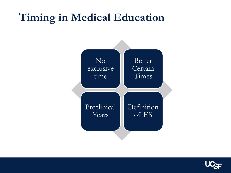#### **Timing in Medical Education**



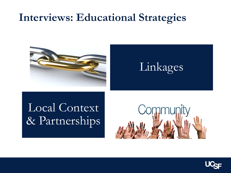#### **Interviews: Educational Strategies**



Linkages

#### Local Context & Partnerships



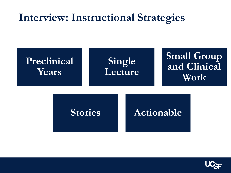#### **Interview: Instructional Strategies**



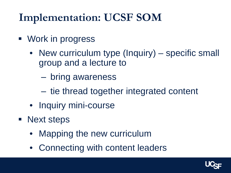## **Implementation: UCSF SOM**

- **Nork in progress** 
	- New curriculum type (Inquiry) specific small group and a lecture to
		- bring awareness
		- ‒ tie thread together integrated content
	- Inquiry mini-course
- Next steps
	- Mapping the new curriculum
	- Connecting with content leaders

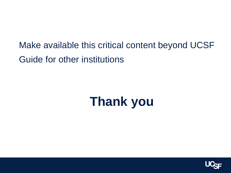Make available this critical content beyond UCSF Guide for other institutions

# **Thank you**